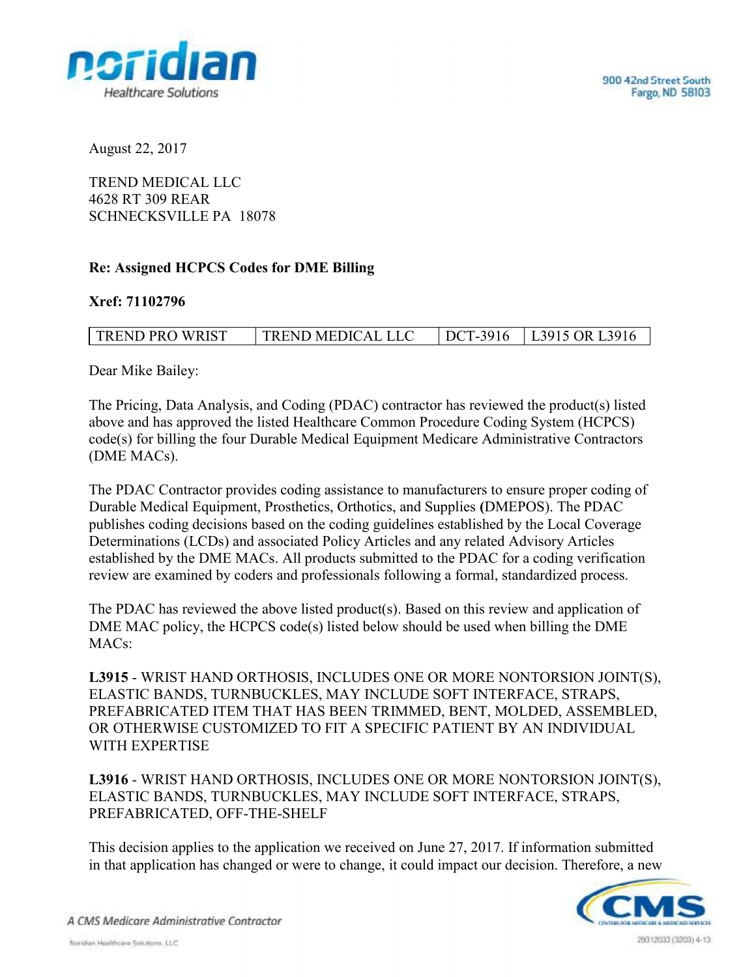

August 22, 2017

TREND MEDICAL LLC 4628 RT 309 REAR SCHNECKSVILLE PA 18078

## Re: Assigned HCPCS Codes for DME Billing

## Xref: 71102796

| <b>TREND PRO WRIST</b> | <b>TREND MEDICAL LLC</b> | DCT-3916 | L3915 OR L3916 |
|------------------------|--------------------------|----------|----------------|
|                        |                          |          |                |

Dear Mike Bailey:

The Pricing, Data Analysis, and Coding (PDAC) contractor has reviewed the product(s) listed above and has approved the listed Healthcare Common Procedure Coding System (HCPCS) code(s) for billing the four Durable Medical Equipment Medicare Administrative Contractors (DME MACs).

The PDAC Contractor provides coding assistance to manufacturers to ensure proper coding of Durable Medical Equipment, Prosthetics, Orthotics, and Supplies (DMEPOS). The PDAC publishes coding decisions based on the coding guidelines established by the Local Coverage Determinations (LCDs) and associated Policy Articles and any related Advisory Articles established by the DME MACs. All products submitted to the PDAC for a coding verification review are examined by coders and professionals following a formal, standardized process.

The PDAC has reviewed the above listed product(s). Based on this review and application of DME MAC policy, the HCPCS code(s) listed below should be used when billing the DME MACs:

L3915 - WRIST HAND ORTHOSIS, INCLUDES ONE OR MORE NONTORSION JOINT(S), ELASTIC BANDS, TURNBUCKLES, MAY INCLUDE SOFT INTERFACE, STRAPS, PREFABRICATED ITEM THAT HAS BEEN TRIMMED, BENT, MOLDED, ASSEMBLED, OR OTHERWISE CUSTOMIZED TO FIT A SPECIFIC PATIENT BY AN INDIVIDUAL WITH EXPERTISE

L3916 - WRIST HAND ORTHOSIS, INCLUDES ONE OR MORE NONTORSION JOINT(S), ELASTIC BANDS, TURNBUCKLES, MAY INCLUDE SOFT INTERFACE, STRAPS, PREFABRICATED, OFF-THE-SHELF

This decision applies to the application we received on June 27, 2017. If information submitted in that application has changed or were to change, it could impact our decision. Therefore, a new



A CMS Medicare Administrative Contractor